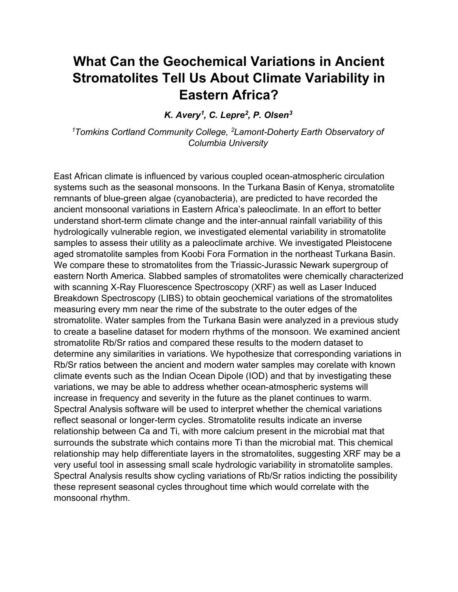## **What Can the Geochemical Variations in Ancient Stromatolites Tell Us About Climate Variability in Eastern Africa?**

*K. Avery1 , C. Lepre2 , P. Olsen3*

*1Tomkins Cortland Community College, 2 Lamont-Doherty Earth Observatory of Columbia University*

East African climate is influenced by various coupled ocean-atmospheric circulation systems such as the seasonal monsoons. In the Turkana Basin of Kenya, stromatolite remnants of blue-green algae (cyanobacteria), are predicted to have recorded the ancient monsoonal variations in Eastern Africa's paleoclimate. In an effort to better understand short-term climate change and the inter-annual rainfall variability of this hydrologically vulnerable region, we investigated elemental variability in stromatolite samples to assess their utility as a paleoclimate archive. We investigated Pleistocene aged stromatolite samples from Koobi Fora Formation in the northeast Turkana Basin. We compare these to stromatolites from the Triassic-Jurassic Newark supergroup of eastern North America. Slabbed samples of stromatolites were chemically characterized with scanning X-Ray Fluorescence Spectroscopy (XRF) as well as Laser Induced Breakdown Spectroscopy (LIBS) to obtain geochemical variations of the stromatolites measuring every mm near the rime of the substrate to the outer edges of the stromatolite. Water samples from the Turkana Basin were analyzed in a previous study to create a baseline dataset for modern rhythms of the monsoon. We examined ancient stromatolite Rb/Sr ratios and compared these results to the modern dataset to determine any similarities in variations. We hypothesize that corresponding variations in Rb/Sr ratios between the ancient and modern water samples may corelate with known climate events such as the Indian Ocean Dipole (IOD) and that by investigating these variations, we may be able to address whether ocean-atmospheric systems will increase in frequency and severity in the future as the planet continues to warm. Spectral Analysis software will be used to interpret whether the chemical variations reflect seasonal or longer-term cycles. Stromatolite results indicate an inverse relationship between Ca and Ti, with more calcium present in the microbial mat that surrounds the substrate which contains more Ti than the microbial mat. This chemical relationship may help differentiate layers in the stromatolites, suggesting XRF may be a very useful tool in assessing small scale hydrologic variability in stromatolite samples. Spectral Analysis results show cycling variations of Rb/Sr ratios indicting the possibility these represent seasonal cycles throughout time which would correlate with the monsoonal rhythm.